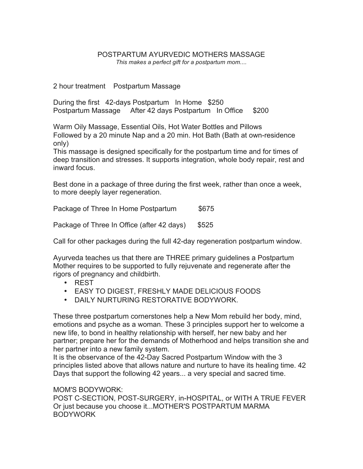## POSTPARTUM AYURVEDIC MOTHERS MASSAGE *This makes a perfect gift for a postpartum mom....*

2 hour treatment Postpartum Massage

During the first 42-days Postpartum In Home \$250 Postpartum Massage After 42 days Postpartum In Office \$200

Warm Oily Massage, Essential Oils, Hot Water Bottles and Pillows Followed by a 20 minute Nap and a 20 min. Hot Bath (Bath at own-residence only)

This massage is designed specifically for the postpartum time and for times of deep transition and stresses. It supports integration, whole body repair, rest and inward focus.

Best done in a package of three during the first week, rather than once a week, to more deeply layer regeneration.

Package of Three In Home Postpartum \$675

Package of Three In Office (after 42 days) \$525

Call for other packages during the full 42-day regeneration postpartum window.

Ayurveda teaches us that there are THREE primary guidelines a Postpartum Mother requires to be supported to fully rejuvenate and regenerate after the rigors of pregnancy and childbirth.

- REST
- EASY TO DIGEST, FRESHLY MADE DELICIOUS FOODS
- DAILY NURTURING RESTORATIVE BODYWORK.

These three postpartum cornerstones help a New Mom rebuild her body, mind, emotions and psyche as a woman. These 3 principles support her to welcome a new life, to bond in healthy relationship with herself, her new baby and her partner; prepare her for the demands of Motherhood and helps transition she and her partner into a new family system.

It is the observance of the 42-Day Sacred Postpartum Window with the 3 principles listed above that allows nature and nurture to have its healing time. 42 Days that support the following 42 years... a very special and sacred time.

## MOM'S BODYWORK:

POST C-SECTION, POST-SURGERY, in-HOSPITAL, or WITH A TRUE FEVER Or just because you choose it...MOTHER'S POSTPARTUM MARMA BODYWORK